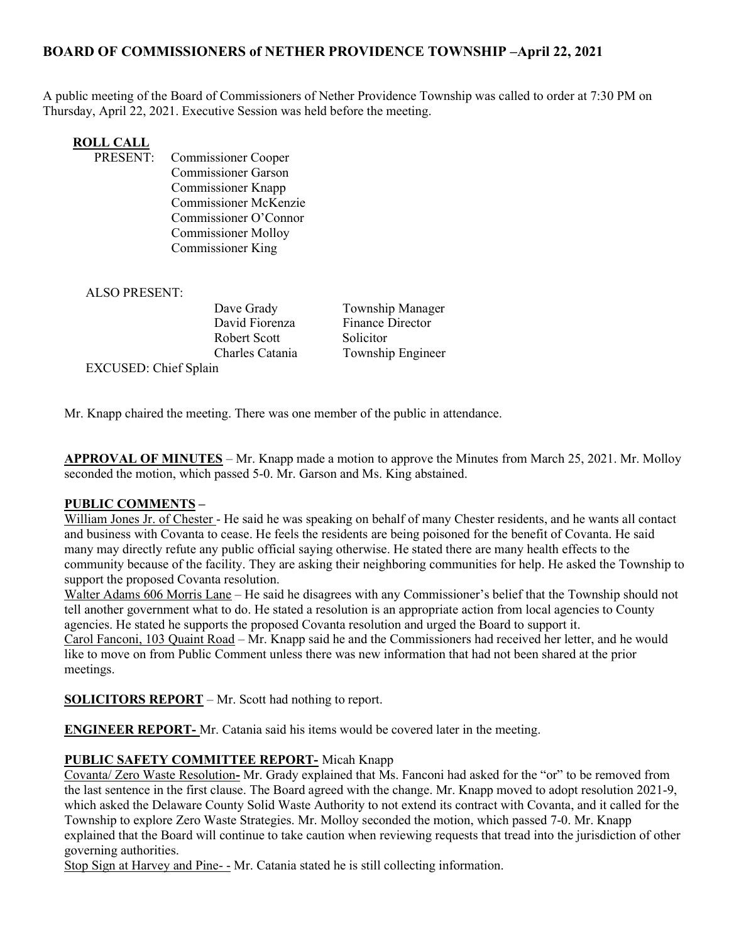# BOARD OF COMMISSIONERS of NETHER PROVIDENCE TOWNSHIP –April 22, 2021

A public meeting of the Board of Commissioners of Nether Providence Township was called to order at 7:30 PM on Thursday, April 22, 2021. Executive Session was held before the meeting.

# **ROLL CALL**<br>**PRESENT:**

Commissioner Cooper Commissioner Garson Commissioner Knapp Commissioner McKenzie Commissioner O'Connor Commissioner Molloy Commissioner King

#### ALSO PRESENT:

Robert Scott Solicitor

Dave Grady **Township Manager** David Fiorenza Finance Director Charles Catania Township Engineer

EXCUSED: Chief Splain

Mr. Knapp chaired the meeting. There was one member of the public in attendance.

APPROVAL OF MINUTES – Mr. Knapp made a motion to approve the Minutes from March 25, 2021. Mr. Molloy seconded the motion, which passed 5-0. Mr. Garson and Ms. King abstained.

## PUBLIC COMMENTS –

William Jones Jr. of Chester - He said he was speaking on behalf of many Chester residents, and he wants all contact and business with Covanta to cease. He feels the residents are being poisoned for the benefit of Covanta. He said many may directly refute any public official saying otherwise. He stated there are many health effects to the community because of the facility. They are asking their neighboring communities for help. He asked the Township to support the proposed Covanta resolution.

Walter Adams 606 Morris Lane – He said he disagrees with any Commissioner's belief that the Township should not tell another government what to do. He stated a resolution is an appropriate action from local agencies to County agencies. He stated he supports the proposed Covanta resolution and urged the Board to support it. Carol Fanconi, 103 Quaint Road – Mr. Knapp said he and the Commissioners had received her letter, and he would like to move on from Public Comment unless there was new information that had not been shared at the prior meetings.

SOLICITORS REPORT – Mr. Scott had nothing to report.

ENGINEER REPORT- Mr. Catania said his items would be covered later in the meeting.

## PUBLIC SAFETY COMMITTEE REPORT- Micah Knapp

Covanta/ Zero Waste Resolution- Mr. Grady explained that Ms. Fanconi had asked for the "or" to be removed from the last sentence in the first clause. The Board agreed with the change. Mr. Knapp moved to adopt resolution 2021-9, which asked the Delaware County Solid Waste Authority to not extend its contract with Covanta, and it called for the Township to explore Zero Waste Strategies. Mr. Molloy seconded the motion, which passed 7-0. Mr. Knapp explained that the Board will continue to take caution when reviewing requests that tread into the jurisdiction of other governing authorities.

Stop Sign at Harvey and Pine- - Mr. Catania stated he is still collecting information.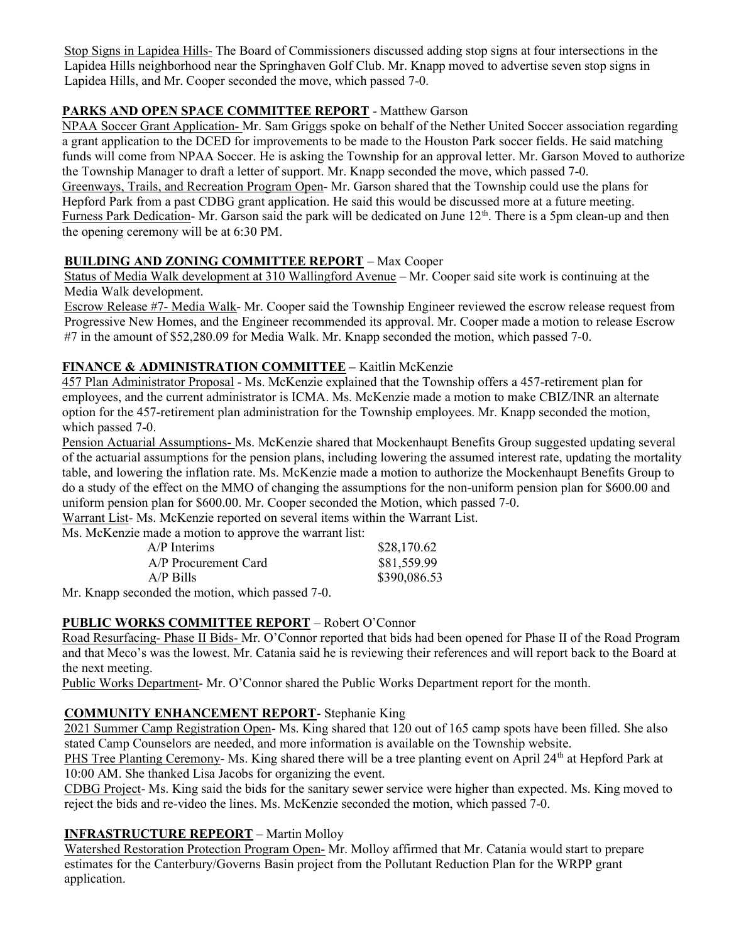Stop Signs in Lapidea Hills- The Board of Commissioners discussed adding stop signs at four intersections in the Lapidea Hills neighborhood near the Springhaven Golf Club. Mr. Knapp moved to advertise seven stop signs in Lapidea Hills, and Mr. Cooper seconded the move, which passed 7-0.

# PARKS AND OPEN SPACE COMMITTEE REPORT - Matthew Garson

NPAA Soccer Grant Application- Mr. Sam Griggs spoke on behalf of the Nether United Soccer association regarding a grant application to the DCED for improvements to be made to the Houston Park soccer fields. He said matching funds will come from NPAA Soccer. He is asking the Township for an approval letter. Mr. Garson Moved to authorize the Township Manager to draft a letter of support. Mr. Knapp seconded the move, which passed 7-0. Greenways, Trails, and Recreation Program Open- Mr. Garson shared that the Township could use the plans for Hepford Park from a past CDBG grant application. He said this would be discussed more at a future meeting. Furness Park Dedication- Mr. Garson said the park will be dedicated on June  $12<sup>th</sup>$ . There is a 5pm clean-up and then

the opening ceremony will be at 6:30 PM.

## BUILDING AND ZONING COMMITTEE REPORT – Max Cooper

Status of Media Walk development at 310 Wallingford Avenue – Mr. Cooper said site work is continuing at the Media Walk development.

Escrow Release #7- Media Walk- Mr. Cooper said the Township Engineer reviewed the escrow release request from Progressive New Homes, and the Engineer recommended its approval. Mr. Cooper made a motion to release Escrow #7 in the amount of \$52,280.09 for Media Walk. Mr. Knapp seconded the motion, which passed 7-0.

## FINANCE & ADMINISTRATION COMMITTEE - Kaitlin McKenzie

457 Plan Administrator Proposal - Ms. McKenzie explained that the Township offers a 457-retirement plan for employees, and the current administrator is ICMA. Ms. McKenzie made a motion to make CBIZ/INR an alternate option for the 457-retirement plan administration for the Township employees. Mr. Knapp seconded the motion, which passed 7-0.

Pension Actuarial Assumptions- Ms. McKenzie shared that Mockenhaupt Benefits Group suggested updating several of the actuarial assumptions for the pension plans, including lowering the assumed interest rate, updating the mortality table, and lowering the inflation rate. Ms. McKenzie made a motion to authorize the Mockenhaupt Benefits Group to do a study of the effect on the MMO of changing the assumptions for the non-uniform pension plan for \$600.00 and uniform pension plan for \$600.00. Mr. Cooper seconded the Motion, which passed 7-0.

Warrant List- Ms. McKenzie reported on several items within the Warrant List.

Ms. McKenzie made a motion to approve the warrant list:

| $A/P$ Interims       | \$28,170.62  |
|----------------------|--------------|
| A/P Procurement Card | \$81,559.99  |
| $A/P$ Bills          | \$390,086.53 |

Mr. Knapp seconded the motion, which passed 7-0.

# PUBLIC WORKS COMMITTEE REPORT – Robert O'Connor

Road Resurfacing- Phase II Bids- Mr. O'Connor reported that bids had been opened for Phase II of the Road Program and that Meco's was the lowest. Mr. Catania said he is reviewing their references and will report back to the Board at the next meeting.

Public Works Department- Mr. O'Connor shared the Public Works Department report for the month.

# COMMUNITY ENHANCEMENT REPORT- Stephanie King

2021 Summer Camp Registration Open- Ms. King shared that 120 out of 165 camp spots have been filled. She also stated Camp Counselors are needed, and more information is available on the Township website.

PHS Tree Planting Ceremony- Ms. King shared there will be a tree planting event on April 24<sup>th</sup> at Hepford Park at 10:00 AM. She thanked Lisa Jacobs for organizing the event.

CDBG Project- Ms. King said the bids for the sanitary sewer service were higher than expected. Ms. King moved to reject the bids and re-video the lines. Ms. McKenzie seconded the motion, which passed 7-0.

# INFRASTRUCTURE REPEORT – Martin Molloy

Watershed Restoration Protection Program Open- Mr. Molloy affirmed that Mr. Catania would start to prepare estimates for the Canterbury/Governs Basin project from the Pollutant Reduction Plan for the WRPP grant application.